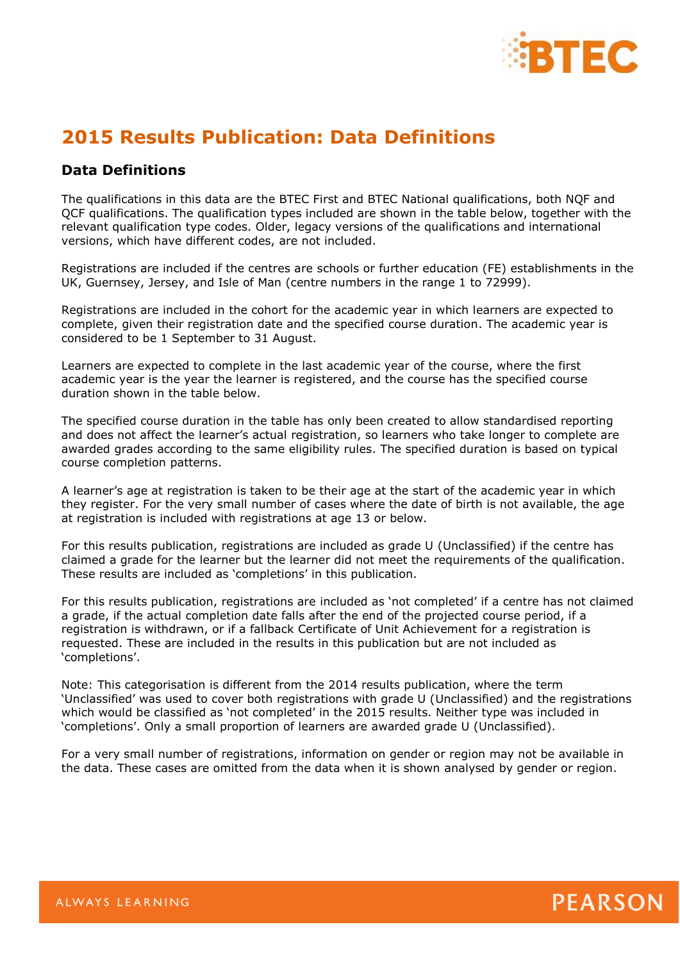

## **2015 Results Publication: Data Definitions**

## **Data Definitions**

The qualifications in this data are the BTEC First and BTEC National qualifications, both NQF and QCF qualifications. The qualification types included are shown in the table below, together with the relevant qualification type codes. Older, legacy versions of the qualifications and international versions, which have different codes, are not included.

Registrations are included if the centres are schools or further education (FE) establishments in the UK, Guernsey, Jersey, and Isle of Man (centre numbers in the range 1 to 72999).

Registrations are included in the cohort for the academic year in which learners are expected to complete, given their registration date and the specified course duration. The academic year is considered to be 1 September to 31 August.

Learners are expected to complete in the last academic year of the course, where the first academic year is the year the learner is registered, and the course has the specified course duration shown in the table below.

The specified course duration in the table has only been created to allow standardised reporting and does not affect the learner's actual registration, so learners who take longer to complete are awarded grades according to the same eligibility rules. The specified duration is based on typical course completion patterns.

A learner's age at registration is taken to be their age at the start of the academic year in which they register. For the very small number of cases where the date of birth is not available, the age at registration is included with registrations at age 13 or below.

For this results publication, registrations are included as grade U (Unclassified) if the centre has claimed a grade for the learner but the learner did not meet the requirements of the qualification. These results are included as 'completions' in this publication.

For this results publication, registrations are included as 'not completed' if a centre has not claimed a grade, if the actual completion date falls after the end of the projected course period, if a registration is withdrawn, or if a fallback Certificate of Unit Achievement for a registration is requested. These are included in the results in this publication but are not included as 'completions'.

Note: This categorisation is different from the 2014 results publication, where the term 'Unclassified' was used to cover both registrations with grade U (Unclassified) and the registrations which would be classified as 'not completed' in the 2015 results. Neither type was included in 'completions'. Only a small proportion of learners are awarded grade U (Unclassified).

For a very small number of registrations, information on gender or region may not be available in the data. These cases are omitted from the data when it is shown analysed by gender or region.